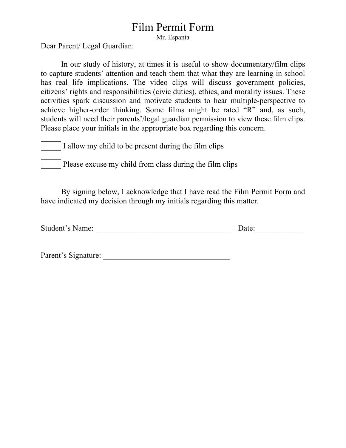## Film Permit Form

Mr. Espanta

Dear Parent/ Legal Guardian:

In our study of history, at times it is useful to show documentary/film clips to capture students' attention and teach them that what they are learning in school has real life implications. The video clips will discuss government policies, citizens' rights and responsibilities (civic duties), ethics, and morality issues. These activities spark discussion and motivate students to hear multiple-perspective to achieve higher-order thinking. Some films might be rated "R" and, as such, students will need their parents'/legal guardian permission to view these film clips. Please place your initials in the appropriate box regarding this concern.

I allow my child to be present during the film clips

Please excuse my child from class during the film clips

By signing below, I acknowledge that I have read the Film Permit Form and have indicated my decision through my initials regarding this matter.

|  | <b>Student's Name:</b> |  | Date: |
|--|------------------------|--|-------|
|--|------------------------|--|-------|

Parent's Signature: